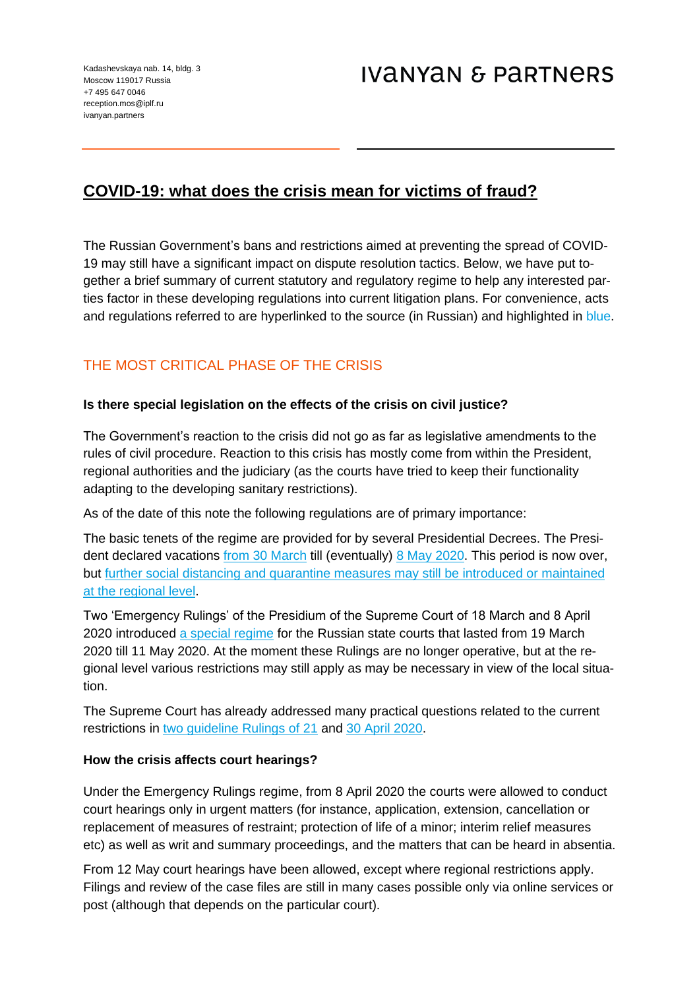# **COVID-19: what does the crisis mean for victims of fraud?**

The Russian Government's bans and restrictions aimed at preventing the spread of COVID-19 may still have a significant impact on dispute resolution tactics. Below, we have put together a brief summary of current statutory and regulatory regime to help any interested parties factor in these developing regulations into current litigation plans. For convenience, acts and regulations referred to are hyperlinked to the source (in Russian) and highlighted in blue.

## THE MOST CRITICAL PHASE OF THE CRISIS

## **Is there special legislation on the effects of the crisis on civil justice?**

The Government's reaction to the crisis did not go as far as legislative amendments to the rules of civil procedure. Reaction to this crisis has mostly come from within the President, regional authorities and the judiciary (as the courts have tried to keep their functionality adapting to the developing sanitary restrictions).

As of the date of this note the following regulations are of primary importance:

The basic tenets of the regime are provided for by several Presidential Decrees. The President declared vacations [from 30 March](http://kvnews.ru/upload/file/0001202004020025.pdf) till (eventually) [8 May 2020.](http://publication.pravo.gov.ru/Document/View/0001202004290001) This period is now over, but [further social distancing and quarantine measures may still be introduced or maintained](http://publication.pravo.gov.ru/Document/View/0001202005110002)  [at the regional level.](http://publication.pravo.gov.ru/Document/View/0001202005110002)

Two 'Emergency Rulings' of the Presidium of the Supreme Court of 18 March and 8 April 2020 introduced [a special regime](http://www.supcourt.ru/files/28837/) for the Russian state courts that lasted from 19 March 2020 till 11 May 2020. At the moment these Rulings are no longer operative, but at the regional level various restrictions may still apply as may be necessary in view of the local situation.

The Supreme Court has already addressed many practical questions related to the current restrictions in [two guideline Rulings of 21](http://www.supcourt.ru/documents/all/28857/) and [30 April 2020.](http://www.supcourt.ru/documents/all/28882/)

## **How the crisis affects court hearings?**

Under the Emergency Rulings regime, from 8 April 2020 the courts were allowed to conduct court hearings only in urgent matters (for instance, application, extension, cancellation or replacement of measures of restraint; protection of life of a minor; interim relief measures etc) as well as writ and summary proceedings, and the matters that can be heard in absentia.

From 12 May court hearings have been allowed, except where regional restrictions apply. Filings and review of the case files are still in many cases possible only via online services or post (although that depends on the particular court).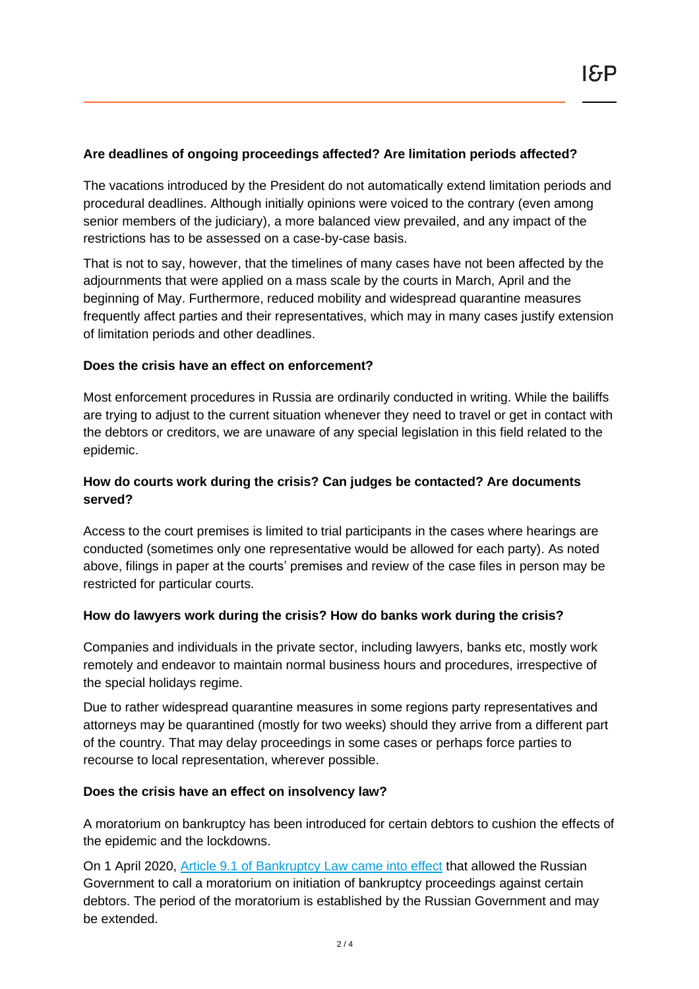## **Are deadlines of ongoing proceedings affected? Are limitation periods affected?**

The vacations introduced by the President do not automatically extend limitation periods and procedural deadlines. Although initially opinions were voiced to the contrary (even among senior members of the judiciary), a more balanced view prevailed, and any impact of the restrictions has to be assessed on a case-by-case basis.

That is not to say, however, that the timelines of many cases have not been affected by the adjournments that were applied on a mass scale by the courts in March, April and the beginning of May. Furthermore, reduced mobility and widespread quarantine measures frequently affect parties and their representatives, which may in many cases justify extension of limitation periods and other deadlines.

### **Does the crisis have an effect on enforcement?**

Most enforcement procedures in Russia are ordinarily conducted in writing. While the bailiffs are trying to adjust to the current situation whenever they need to travel or get in contact with the debtors or creditors, we are unaware of any special legislation in this field related to the epidemic.

## **How do courts work during the crisis? Can judges be contacted? Are documents served?**

Access to the court premises is limited to trial participants in the cases where hearings are conducted (sometimes only one representative would be allowed for each party). As noted above, filings in paper at the courts' premises and review of the case files in person may be restricted for particular courts.

#### **How do lawyers work during the crisis? How do banks work during the crisis?**

Companies and individuals in the private sector, including lawyers, banks etc, mostly work remotely and endeavor to maintain normal business hours and procedures, irrespective of the special holidays regime.

Due to rather widespread quarantine measures in some regions party representatives and attorneys may be quarantined (mostly for two weeks) should they arrive from a different part of the country. That may delay proceedings in some cases or perhaps force parties to recourse to local representation, wherever possible.

#### **Does the crisis have an effect on insolvency law?**

A moratorium on bankruptcy has been introduced for certain debtors to cushion the effects of the epidemic and the lockdowns.

On 1 April 2020, [Article 9.1 of Bankruptcy](https://fzrf.su/zakon/o-nesostoyatelnosti-bankrotstve-127-fz/st-9.1.php) Law came into effect that allowed the Russian Government to call a moratorium on initiation of bankruptcy proceedings against certain debtors. The period of the moratorium is established by the Russian Government and may be extended.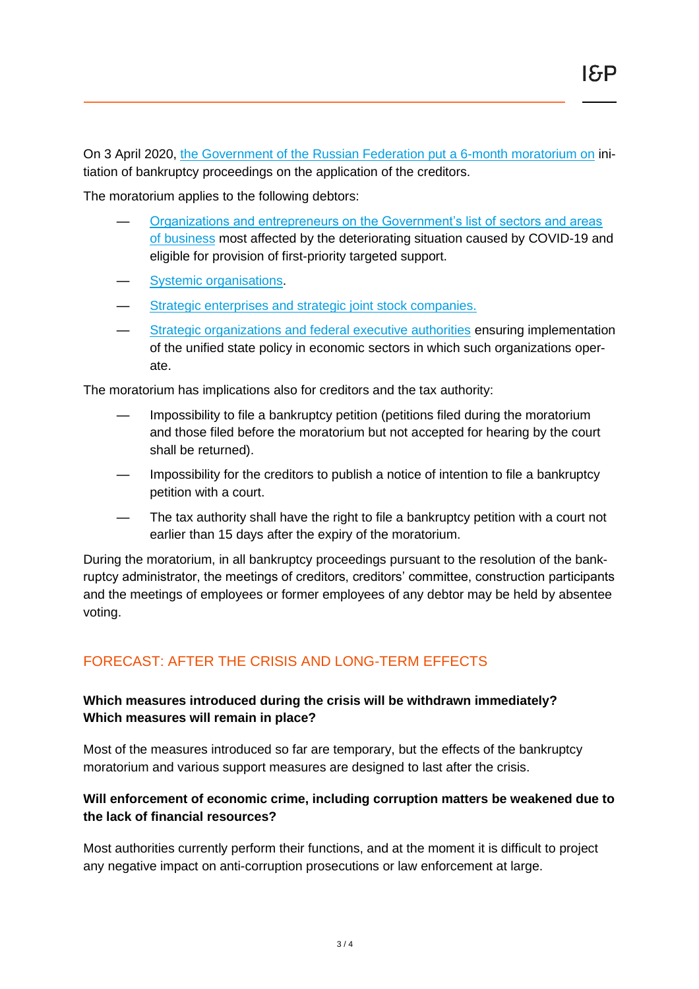On 3 April 2020, [the Government of the Russian Federation put a 6-month moratorium on](http://static.government.ru/media/files/q3x1rrVAA325WgKQq3cJu9kAXM1W6Imn.pdf) initiation of bankruptcy proceedings on the application of the creditors.

The moratorium applies to the following debtors:

- [Organizations and entrepreneurs on the Government's list of sectors and areas](https://www.nalog.ru/rn77/business-support-2020/9704514/)  [of business](https://www.nalog.ru/rn77/business-support-2020/9704514/) most affected by the deteriorating situation caused by COVID-19 and eligible for provision of first-priority targeted support.
- [Systemic organisations.](http://government.ru/docs/29118/)
- Strategic enterprises and strategic joint stock companies.
- [Strategic organizations and federal executive authorities](http://static.government.ru/media/files/Me3qmuTXXKxdh73596yG0ajEsKOOzaQB.pdf) ensuring implementation of the unified state policy in economic sectors in which such organizations operate.

The moratorium has implications also for creditors and the tax authority:

- Impossibility to file a bankruptcy petition (petitions filed during the moratorium and those filed before the moratorium but not accepted for hearing by the court shall be returned).
- Impossibility for the creditors to publish a notice of intention to file a bankruptcy petition with a court.
- The tax authority shall have the right to file a bankruptcy petition with a court not earlier than 15 days after the expiry of the moratorium.

During the moratorium, in all bankruptcy proceedings pursuant to the resolution of the bankruptcy administrator, the meetings of creditors, creditors' committee, construction participants and the meetings of employees or former employees of any debtor may be held by absentee voting.

## FORECAST: AFTER THE CRISIS AND LONG-TERM EFFECTS

## **Which measures introduced during the crisis will be withdrawn immediately? Which measures will remain in place?**

Most of the measures introduced so far are temporary, but the effects of the bankruptcy moratorium and various support measures are designed to last after the crisis.

## **Will enforcement of economic crime, including corruption matters be weakened due to the lack of financial resources?**

Most authorities currently perform their functions, and at the moment it is difficult to project any negative impact on anti-corruption prosecutions or law enforcement at large.